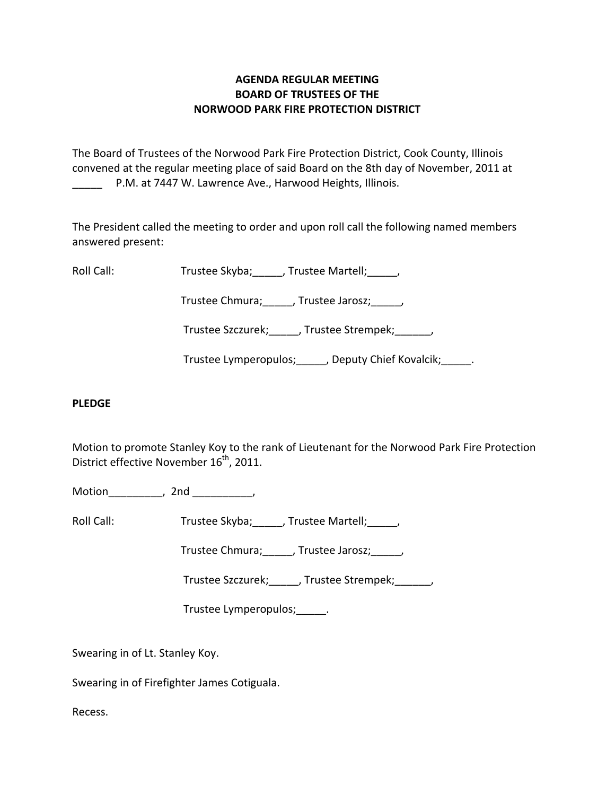# **AGENDA REGULAR MEETING BOARD OF TRUSTEES OF THE NORWOOD PARK FIRE PROTECTION DISTRICT**

The Board of Trustees of the Norwood Park Fire Protection District, Cook County, Illinois convened at the regular meeting place of said Board on the 8th day of November, 2011 at P.M. at 7447 W. Lawrence Ave., Harwood Heights, Illinois.

The President called the meeting to order and upon roll call the following named members answered present:

Roll Call: Trustee Skyba; Jrustee Martell;

Trustee Chmura; frustee Jarosz; frustee Ohmura; die Jarosz; die Jarosz; die Jarosz; die Jarosz; die J

Trustee Szczurek; frustee Strempek; frustee Strempek;

Trustee Lymperopulos; Jeputy Chief Kovalcik; Trustee Lymperopulos; July 2014

## **PLEDGE**

Motion to promote Stanley Koy to the rank of Lieutenant for the Norwood Park Fire Protection District effective November 16<sup>th</sup>, 2011.

Motion the contract of the contract of the contract of the contract of the contract of the contract of the contract of the contract of the contract of the contract of the contract of the contract of the contract of the con

Roll Call: Trustee Skyba; \_\_\_\_, Trustee Martell; \_\_\_\_,

Trustee Chmura; frustee Jarosz; frustee Ohmura;

Trustee Szczurek; frustee Strempek; frustee Strempek;

Trustee Lymperopulos;\_\_\_\_\_.

Swearing in of Lt. Stanley Koy.

Swearing in of Firefighter James Cotiguala.

Recess.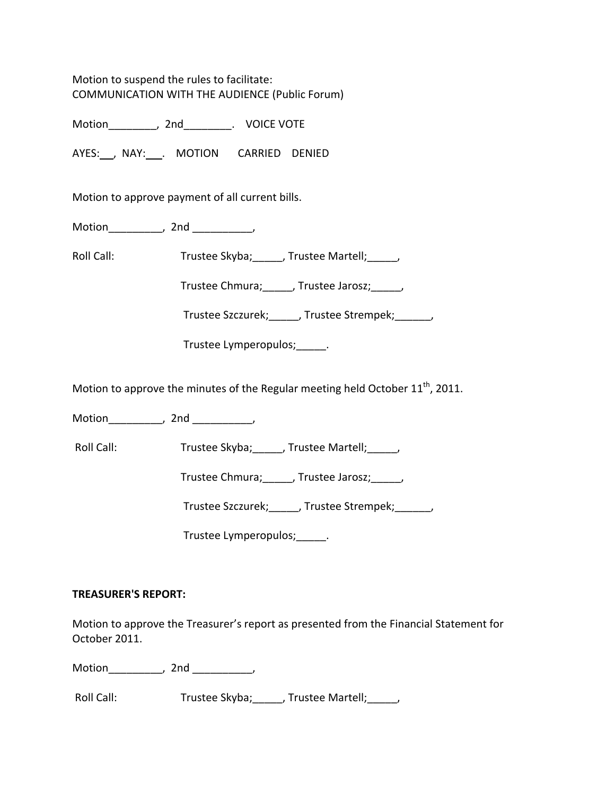Motion to suspend the rules to facilitate: COMMUNICATION WITH THE AUDIENCE (Public Forum)

Motion\_\_\_\_\_\_\_\_, 2nd\_\_\_\_\_\_\_\_. VOICE VOTE

AYES: NAY: MOTION CARRIED DENIED

Motion to approve payment of all current bills.

Motion the contract of the contract of the contract of the contract of the contract of the contract of the contract of the contract of the contract of the contract of the contract of the contract of the contract of the con

Roll Call: Trustee Skyba; \_\_\_\_, Trustee Martell; \_\_\_\_,

Trustee Chmura;\_\_\_\_\_, Trustee Jarosz;\_\_\_\_\_,

Trustee Szczurek;\_\_\_\_\_, Trustee Strempek;\_\_\_\_\_\_,

Trustee Lymperopulos; Fig.

Motion to approve the minutes of the Regular meeting held October  $11<sup>th</sup>$ , 2011.

Motion\_\_\_\_\_\_\_\_\_, 2nd \_\_\_\_\_\_\_\_\_\_,

Roll Call: Trustee Skyba; \_\_\_\_\_, Trustee Martell; \_\_\_\_\_,

Trustee Chmura;\_\_\_\_\_, Trustee Jarosz;\_\_\_\_\_,

Trustee Szczurek;\_\_\_\_\_, Trustee Strempek;\_\_\_\_\_\_,

Trustee Lymperopulos;\_\_\_\_\_.

## **TREASURER'S REPORT:**

Motion to approve the Treasurer's report as presented from the Financial Statement for October 2011.

Motion , 2nd ,

Roll Call: Trustee Skyba; J. Trustee Martell; J. J.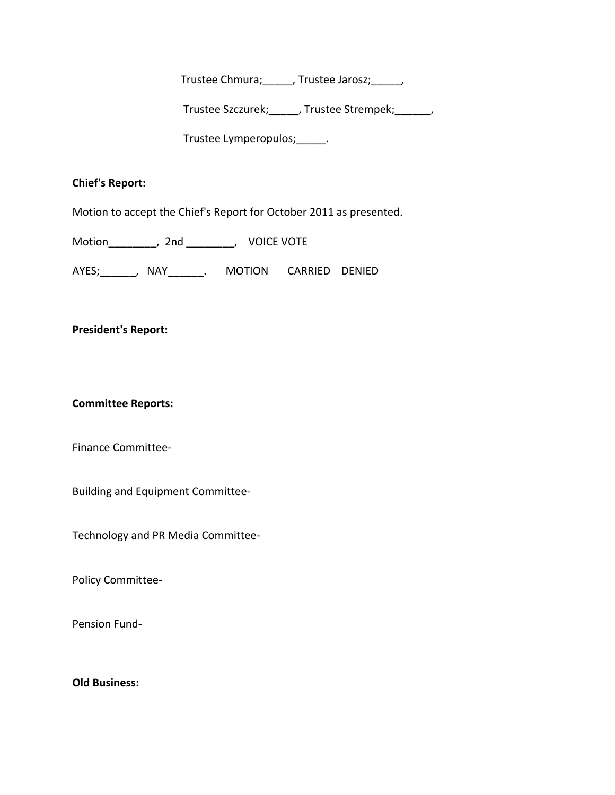Trustee Chmura;\_\_\_\_\_, Trustee Jarosz;\_\_\_\_\_,

Trustee Szczurek;\_\_\_\_\_, Trustee Strempek;\_\_\_\_\_\_,

Trustee Lymperopulos;\_\_\_\_\_.

## **Chief's Report:**

Motion to accept the Chief's Report for October 2011 as presented.

Motion\_\_\_\_\_\_\_\_, 2nd \_\_\_\_\_\_\_\_, VOICE VOTE

AYES; ANAY ARRIED DENIED

#### **President's Report:**

**Committee Reports:**

Finance Committee‐

Building and Equipment Committee‐

Technology and PR Media Committee‐

Policy Committee‐

Pension Fund‐

**Old Business:**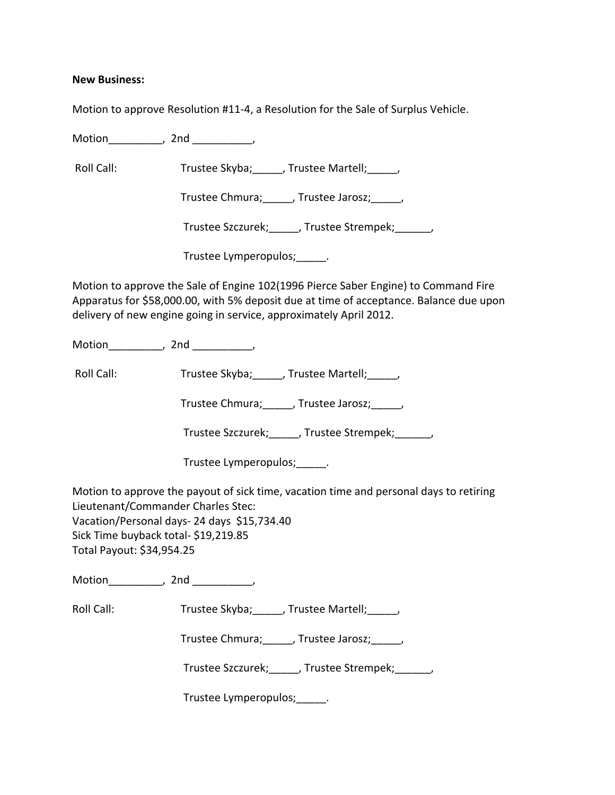#### **New Business:**

Motion to approve Resolution #11‐4, a Resolution for the Sale of Surplus Vehicle.

Motion the motion of the motion of the motion of the motion of the motion of the motion of the motion of the m<br>Second motion of the motion of the motion of the motion of the motion of the motion of the motion of the motio<br>

Roll Call: Trustee Skyba; J. Trustee Martell; Trustee Martell;

Trustee Chmura; Frustee Jarosz; Frustee Jarosz;

Trustee Szczurek; J. Trustee Strempek; J.

Trustee Lymperopulos;\_\_\_\_\_.

Motion to approve the Sale of Engine 102(1996 Pierce Saber Engine) to Command Fire Apparatus for \$58,000.00, with 5% deposit due at time of acceptance. Balance due upon delivery of new engine going in service, approximately April 2012.

Motion\_\_\_\_\_\_\_\_\_, 2nd \_\_\_\_\_\_\_\_\_\_,

Roll Call: Trustee Skyba; \_\_\_\_, Trustee Martell; \_\_\_\_,

Trustee Chmura; frustee Jarosz; frustee Ohmura; die Jarosz; die Jarosz; die Jarosz; die Jarosz; die J

Trustee Szczurek; frustee Strempek; frustee Strempek;

Trustee Lymperopulos;\_\_\_\_\_.

Motion to approve the payout of sick time, vacation time and personal days to retiring Lieutenant/Commander Charles Stec: Vacation/Personal days‐ 24 days \$15,734.40 Sick Time buyback total‐ \$19,219.85 Total Payout: \$34,954.25

Motion the contract of the contract of the contract of the contract of the contract of the contract of the contract of the contract of the contract of the contract of the contract of the contract of the contract of the con

Roll Call: Trustee Skyba; Trustee Martell; Trustee Martell;

Trustee Chmura;\_\_\_\_\_, Trustee Jarosz;\_\_\_\_\_,

Trustee Szczurek; J. Trustee Strempek; J.

Trustee Lymperopulos;\_\_\_\_\_.